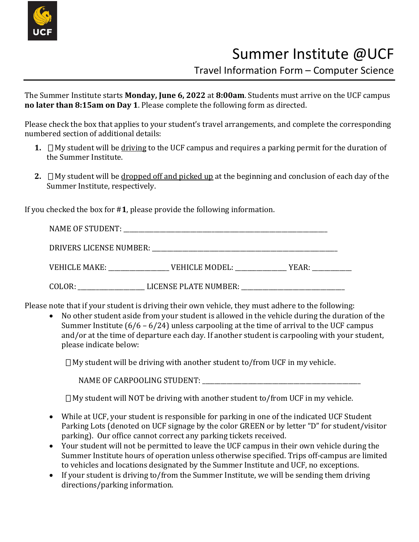

## Summer Institute @UCF

Travel Information Form – Computer Science

The Summer Institute starts **Monday, June 6, 2022** at **8:00am**. Students must arrive on the UCF campus **no later than 8:15am on Day 1**. Please complete the following form as directed.

Please check the box that applies to your student's travel arrangements, and complete the corresponding numbered section of additional details:

- **1.**  $\Box$  My student will be driving to the UCF campus and requires a parking permit for the duration of the Summer Institute.
- **2.** □My student will be dropped off and picked up at the beginning and conclusion of each day of the Summer Institute, respectively.

If you checked the box for #**1**, please provide the following information.

| NAME OF STUDENT:        | <u> 1989 - Johann Stein, fransk politiker (d. 1989)</u> |       |
|-------------------------|---------------------------------------------------------|-------|
| DRIVERS LICENSE NUMBER: |                                                         |       |
| <b>VEHICLE MAKE:</b>    | VEHICLE MODEL:<br><u> a shekara ta 1999 a shekara t</u> | YEAR: |
| COLOR:                  | LICENSE PLATE NUMBER:                                   |       |

Please note that if your student is driving their own vehicle, they must adhere to the following:

• No other student aside from your student is allowed in the vehicle during the duration of the Summer Institute (6/6 – 6/24) unless carpooling at the time of arrival to the UCF campus and/or at the time of departure each day. If another student is carpooling with your student, please indicate below:

 $\Box$  My student will be driving with another student to/from UCF in my vehicle.

NAME OF CARPOOLING STUDENT: \_\_\_\_\_\_\_\_\_\_\_\_\_\_\_\_\_\_\_\_\_\_\_\_\_\_\_\_\_\_\_\_\_\_\_\_\_\_\_\_\_\_\_\_\_\_\_\_\_\_\_\_

 $\Box$  My student will NOT be driving with another student to/from UCF in my vehicle.

- While at UCF, your student is responsible for parking in one of the indicated UCF Student Parking Lots (denoted on UCF signage by the color GREEN or by letter "D" for student/visitor parking). Our office cannot correct any parking tickets received.
- Your student will not be permitted to leave the UCF campus in their own vehicle during the Summer Institute hours of operation unless otherwise specified. Trips off-campus are limited to vehicles and locations designated by the Summer Institute and UCF, no exceptions.
- If your student is driving to/from the Summer Institute, we will be sending them driving directions/parking information.